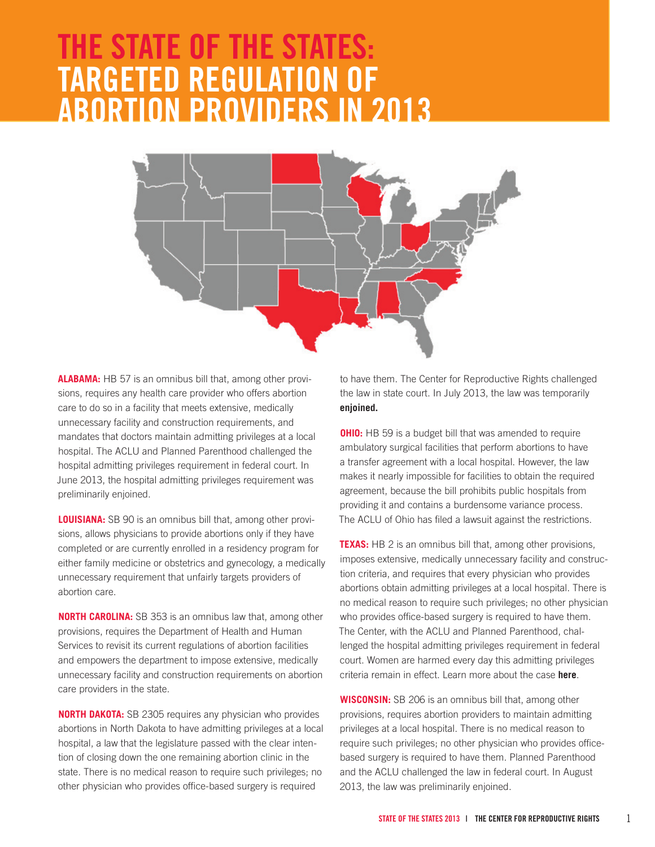# **The State of the States: Targeted Regulation of Abortion Providers in 2013**



**Alabama:** HB 57 is an omnibus bill that, among other provisions, requires any health care provider who offers abortion care to do so in a facility that meets extensive, medically unnecessary facility and construction requirements, and mandates that doctors maintain admitting privileges at a local hospital. The ACLU and Planned Parenthood challenged the hospital admitting privileges requirement in federal court. In June 2013, the hospital admitting privileges requirement was preliminarily enjoined.

**Louisiana:** SB 90 is an omnibus bill that, among other provisions, allows physicians to provide abortions only if they have completed or are currently enrolled in a residency program for either family medicine or obstetrics and gynecology, a medically unnecessary requirement that unfairly targets providers of abortion care.

**NORTH CAROLINA:** SB 353 is an omnibus law that, among other provisions, requires the Department of Health and Human Services to revisit its current regulations of abortion facilities and empowers the department to impose extensive, medically unnecessary facility and construction requirements on abortion care providers in the state.

**NORTH DAKOTA:** SB 2305 requires any physician who provides abortions in North Dakota to have admitting privileges at a local hospital, a law that the legislature passed with the clear intention of closing down the one remaining abortion clinic in the state. There is no medical reason to require such privileges; no other physician who provides office-based surgery is required

to have them. The Center for Reproductive Rights challenged the law in state court. In July 2013, the law was temporarily **[enjoined.](http://reproductiverights.org/en/press-room/state-judge-blocks-nd-law-designed-to-close-only-abortion-clinic-in-the-state)**

**OHIO:** HB 59 is a budget bill that was amended to require ambulatory surgical facilities that perform abortions to have a transfer agreement with a local hospital. However, the law makes it nearly impossible for facilities to obtain the required agreement, because the bill prohibits public hospitals from providing it and contains a burdensome variance process. The ACLU of Ohio has filed a lawsuit against the restrictions.

**TEXAS:** HB 2 is an omnibus bill that, among other provisions, imposes extensive, medically unnecessary facility and construction criteria, and requires that every physician who provides abortions obtain admitting privileges at a local hospital. There is no medical reason to require such privileges; no other physician who provides office-based surgery is required to have them. The Center, with the ACLU and Planned Parenthood, challenged the hospital admitting privileges requirement in federal court. Women are harmed every day this admitting privileges criteria remain in effect. Learn more about the case **[here](http://reproductiverights.org/en/press-room/us-surpreme-court-refuses-to-reinstate-injunction-blocking-texas-law)**.

**Wisconsin:** SB 206 is an omnibus bill that, among other provisions, requires abortion providers to maintain admitting privileges at a local hospital. There is no medical reason to require such privileges; no other physician who provides officebased surgery is required to have them. Planned Parenthood and the ACLU challenged the law in federal court. In August 2013, the law was preliminarily enjoined.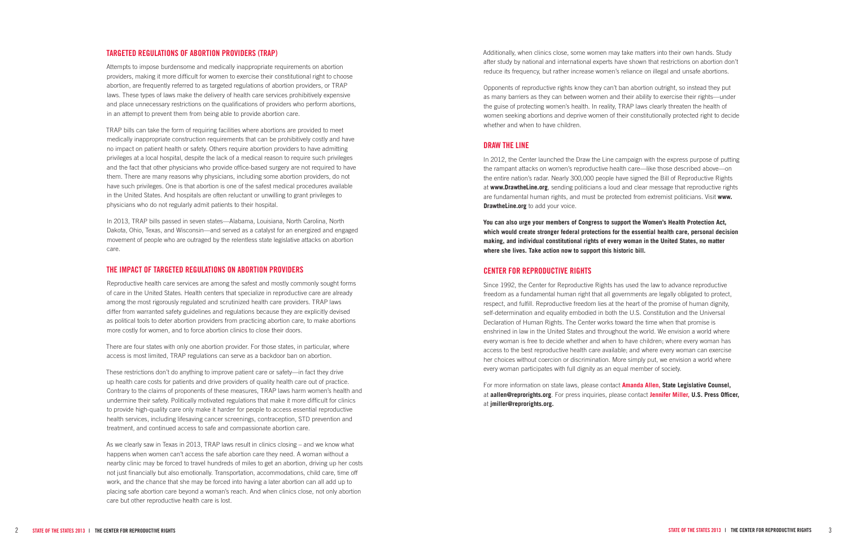#### **Targe ted Regulation s of Abor tion Provider s (TRAP)**

Attempts to impose burdensome and medically inappropriate requirements on abortion providers, making it more difficult for women to exercise their constitutional right to choose abortion, are frequently referred to as targeted regulations of abortion providers, or TRAP laws. These types of laws make the delivery of health care services prohibitively expensive and place unnecessary restrictions on the qualifications of providers who perform abortions, in an attempt to prevent them from being able to provide abortion care.

TRAP bills can take the form of requiring facilities where abortions are provided to meet medically inappropriate construction requirements that can be prohibitively costly and have no impact on patient health or safety. Others require abortion providers to have admitting privileges at a local hospital, despite the lack of a medical reason to require such privileges and the fact that other physicians who provide office-based surgery are not required to have them. There are many reasons why physicians, including some abortion providers, do not have such privileges. One is that abortion is one of the safest medical procedures available in the United States. And hospitals are often reluctant or unwilling to grant privileges to physicians who do not regularly admit patients to their hospital.

In 2013, TRAP bills passed in seven states—Alabama, Louisiana, North Carolina, North Dakota, Ohio, Texas, and Wisconsin—and served as a catalyst for an energized and engaged movement of people who are outraged by the relentless state legislative attacks on abortion care.

#### **The I m pac t of Targe ted Regulation s on Abor tion Provider s**

Reproductive health care services are among the safest and mostly commonly sought forms of care in the United States. Health centers that specialize in reproductive care are already among the most rigorously regulated and scrutinized health care providers. TRAP laws differ from warranted safety guidelines and regulations because they are explicitly devised as political tools to deter abortion providers from practicing abortion care, to make abortions more costly for women, and to force abortion clinics to close their doors.

There are four states with only one abortion provider. For those states, in particular, where access is most limited, TRAP regulations can serve as a backdoor ban on abortion.

These restrictions don't do anything to improve patient care or safety—in fact they drive up health care costs for patients and drive providers of quality health care out of practice. Contrary to the claims of proponents of these measures, TRAP laws harm women's health and undermine their safety. Politically motivated regulations that make it more difficult for clinics to provide high-quality care only make it harder for people to access essential reproductive health services, including lifesaving cancer screenings, contraception, STD prevention and treatment, and continued access to safe and compassionate abortion care.

As we clearly saw in Texas in 2013, TRAP laws result in clinics closing – and we know what happens when women can't access the safe abortion care they need. A woman without a nearby clinic may be forced to travel hundreds of miles to get an abortion, driving up her costs not just financially but also emotionally. Transportation, accommodations, child care, time off work, and the chance that she may be forced into having a later abortion can all add up to placing safe abortion care beyond a woman's reach. And when clinics close, not only abortion care but other reproductive health care is lost.

Additionally, when clinics close, some women may take matters into their own hands. Study after study by national and international experts have shown that restrictions on abortion don't reduce its frequency, but rather increase women's reliance on illegal and unsafe abortions.

Opponents of reproductive rights know they can't ban abortion outright, so instead they put as many barriers as they can between women and their ability to exercise their rights—under the guise of protecting women's health. In reality, TRAP laws clearly threaten the health of women seeking abortions and deprive women of their constitutionally protected right to decide whether and when to have children.

#### **Draw the Line**

In 2012, the Center launched the Draw the Line campaign with the express purpose of putting the rampant attacks on women's reproductive health care—like those described above—on the entire nation's radar. Nearly 300,000 people have signed the Bill of Reproductive Rights at **[www.Drawthe](http://www.drawtheline.org) Line.org**, sending politicians a loud and clear message that reproductive rights are fundamental human rights, and must be protected from extremist politicians. Visit **www. Drawthe Line.org** to add your voice.

**[You can also urge your members of Congress to support the Women's](https://secure3.convio.net/cfrr/site/Advocacy?cmd=display&page=UserAction&id=195#.Uq93adJDtUM)  Health Protection Act, [which would create stronger federal protections for the essential health care, personal decision](https://secure3.convio.net/cfrr/site/Advocacy?cmd=display&page=UserAction&id=195#.Uq93adJDtUM)  [making, and individual constitutional rights of every woman in the](https://secure3.convio.net/cfrr/site/Advocacy?cmd=display&page=UserAction&id=195#.Uq93adJDtUM)  United States, no matter where she lives. [Take action now to support this historic bill.](https://secure3.convio.net/cfrr/site/Advocacy?cmd=display&page=UserAction&id=195#.Uq93adJDtUM)**

### **Cen ter for R e produc tive Rights**

Since 1992, the Center for Reproductive Rights has used the law to advance reproductive freedom as a fundamental human right that all governments are legally obligated to protect, respect, and fulfill. Reproductive freedom lies at the heart of the promise of human dignity, self-determination and equality embodied in both the U.S. Constitution and the Universal Declaration of Human Rights. The Center works toward the time when that promise is enshrined in law in the United States and throughout the world. We envision a world where every woman is free to decide whether and when to have children; where every woman has access to the best reproductive health care available; and where every woman can exercise her choices without coercion or discrimination. More simply put, we envision a world where every woman participates with full dignity as an equal member of society.

For more information on state laws, please contact **Amanda Allen, State Legislative Counsel,**  at **aallen@reprorights.org**. For press inquiries, please contact **Jennifer Miller, U . S. Press Officer,**  at **jmiller@reprorights.org.**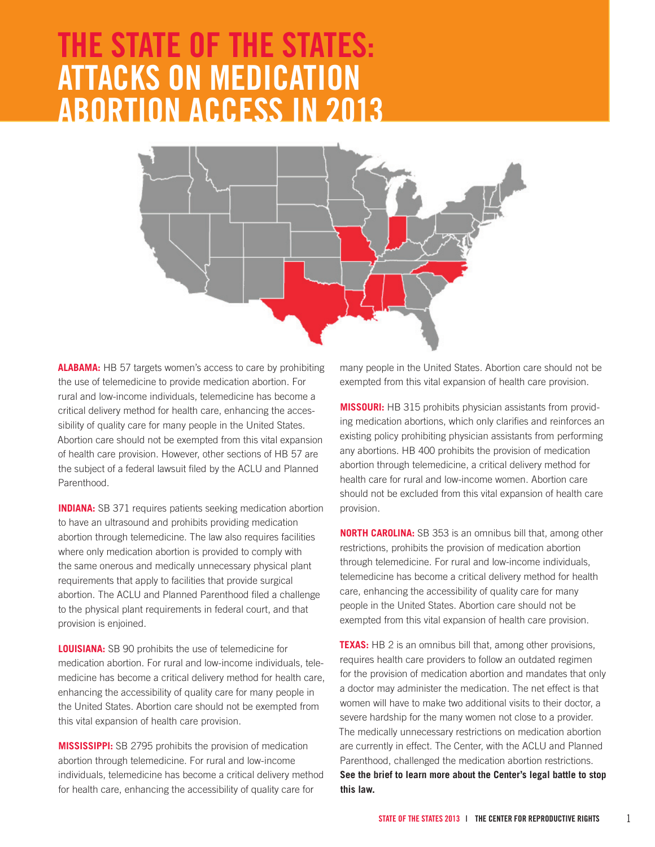# **The State of the States: Attacks on Medication Abortion Access in 2013**



**Alabama:** HB 57 targets women's access to care by prohibiting the use of telemedicine to provide medication abortion. For rural and low-income individuals, telemedicine has become a critical delivery method for health care, enhancing the accessibility of quality care for many people in the United States. Abortion care should not be exempted from this vital expansion of health care provision. However, other sections of HB 57 are the subject of a federal lawsuit filed by the ACLU and Planned Parenthood.

**INDIANA:** SB 371 requires patients seeking medication abortion to have an ultrasound and prohibits providing medication abortion through telemedicine. The law also requires facilities where only medication abortion is provided to comply with the same onerous and medically unnecessary physical plant requirements that apply to facilities that provide surgical abortion. The ACLU and Planned Parenthood filed a challenge to the physical plant requirements in federal court, and that provision is enjoined.

**Louisiana:** SB 90 prohibits the use of telemedicine for medication abortion. For rural and low-income individuals, telemedicine has become a critical delivery method for health care, enhancing the accessibility of quality care for many people in the United States. Abortion care should not be exempted from this vital expansion of health care provision.

**Mississippi:** SB 2795 prohibits the provision of medication abortion through telemedicine. For rural and low-income individuals, telemedicine has become a critical delivery method for health care, enhancing the accessibility of quality care for

many people in the United States. Abortion care should not be exempted from this vital expansion of health care provision.

**Missouri:** HB 315 prohibits physician assistants from providing medication abortions, which only clarifies and reinforces an existing policy prohibiting physician assistants from performing any abortions. HB 400 prohibits the provision of medication abortion through telemedicine, a critical delivery method for health care for rural and low-income women. Abortion care should not be excluded from this vital expansion of health care provision.

**NORTH CAROLINA:** SB 353 is an omnibus bill that, among other restrictions, prohibits the provision of medication abortion through telemedicine. For rural and low-income individuals, telemedicine has become a critical delivery method for health care, enhancing the accessibility of quality care for many people in the United States. Abortion care should not be exempted from this vital expansion of health care provision.

**TEXAS:** HB 2 is an omnibus bill that, among other provisions, requires health care providers to follow an outdated regimen for the provision of medication abortion and mandates that only a doctor may administer the medication. The net effect is that women will have to make two additional visits to their doctor, a severe hardship for the many women not close to a provider. The medically unnecessary restrictions on medication abortion are currently in effect. The Center, with the ACLU and Planned Parenthood, challenged the medication abortion restrictions. **[See the brief to learn more about the Center's legal battle to stop](http://reproductiverights.org/en/case/planned-parenthood-et-al-v-abbott)  [this law.](http://reproductiverights.org/en/case/planned-parenthood-et-al-v-abbott)**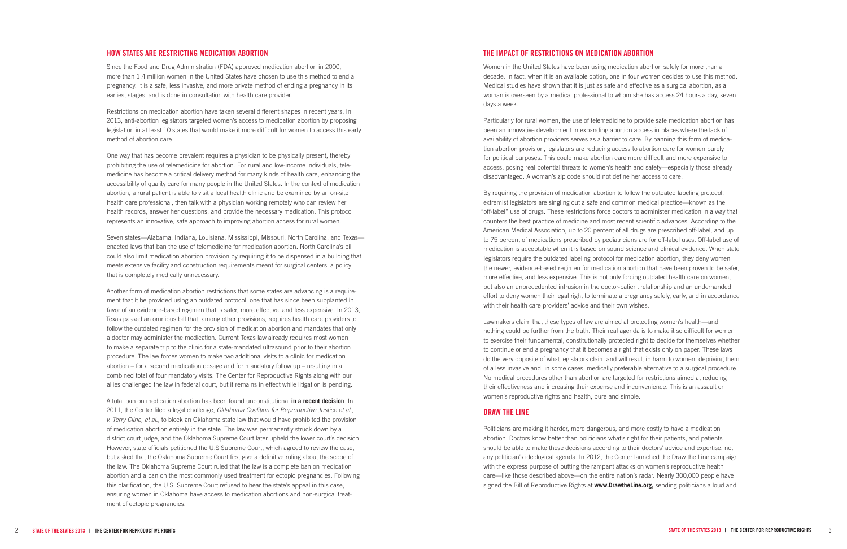#### **HOW STATES ARE RESTRICTING MEDICATION ABORTION t**

Since the Food and Drug Administration (FDA) approved medication abortion in 2000, more than 1.4 million women in the United States have chosen to use this method to end a pregnancy. It is a safe, less invasive, and more private method of ending a pregnancy in its earliest stages, and is done in consultation with health care provider.

Restrictions on medication abortion have taken several different shapes in recent years. In 2013, anti-abortion legislators targeted women's access to medication abortion by proposing legislation in at least 10 states that would make it more difficult for women to access this early method of abortion care.

One way that has become prevalent requires a physician to be physically present, thereby prohibiting the use of telemedicine for abortion. For rural and low-income individuals, tele medicine has become a critical delivery method for many kinds of health care, enhancing the accessibility of quality care for many people in the United States. In the context of medication abortion, a rural patient is able to visit a local health clinic and be examined by an on-site health care professional, then talk with a physician working remotely who can review her health records, answer her questions, and provide the necessary medication. This protocol represents an innovative, safe approach to improving abortion access for rural women.

Seven states—Alabama, Indiana, Louisiana, Mississippi, Missouri, North Carolina, and Texas enacted laws that ban the use of telemedicine for medication abortion. North Carolina's bill could also limit medication abortion provision by requiring it to be dispensed in a building that meets extensive facility and construction requirements meant for surgical centers, a policy that is completely medically unnecessary.

Another form of medication abortion restrictions that some states are advancing is a require ment that it be provided using an outdated protocol, one that has since been supplanted in favor of an evidence-based regimen that is safer, more effective, and less expensive. In 2013, Texas passed an omnibus bill that, among other provisions, requires health care providers to follow the outdated regimen for the provision of medication abortion and mandates that only a doctor may administer the medication. Current Texas law already requires most women to make a separate trip to the clinic for a state-mandated ultrasound prior to their abortion procedure. The law forces women to make two additional visits to a clinic for medication abortion – for a second medication dosage and for mandatory follow up – resulting in a combined total of four mandatory visits. The Center for Reproductive Rights along with our allies challenged the law in federal court, but it remains in effect while litigation is pending.

A total ban on medication abortion has been found unconstitutional **[in a recent decision](http://reproductiverights.org/en/press-room/nations-highest-court-dismisses-case-concerning-oklahoma-medication-abortion-ban)**. In 2011, the Center filed a legal challenge, *Oklahoma Coalition for Reproductive Justice et al., v. Terry Cline, et al.,* to block an Oklahoma state law that would have prohibited the provision of medication abortion entirely in the state. The law was permanently struck down by a district court judge, and the Oklahoma Supreme Court later upheld the lower court's decision. However, state officials petitioned the U.S Supreme Court, which agreed to review the case, but asked that the Oklahoma Supreme Court first give a definitive ruling about the scope of the law. The Oklahoma Supreme Court ruled that the law is a complete ban on medication abortion and a ban on the most commonly used treatment for ectopic pregnancies. Following this clarification, the U.S. Supreme Court refused to hear the state's appeal in this case, ensuring women in Oklahoma have access to medication abortions and non-surgical treat ment of ectopic pregnancies.

#### **The Impac t of R estric tion s on Medication Abor tion**

Women in the United States have been using medication abortion safely for more than a decade. In fact, when it is an available option, one in four women decides to use this method. Medical studies have shown that it is just as safe and effective as a surgical abortion, as a woman is overseen by a medical professional to whom she has access 24 hours a day, seven days a week.

Particularly for rural women, the use of telemedicine to provide safe medication abortion has been an innovative development in expanding abortion access in places where the lack of availability of abortion providers serves as a barrier to care. By banning this form of medica tion abortion provision, legislators are reducing access to abortion care for women purely for political purposes. This could make abortion care more difficult and more expensive to access, posing real potential threats to women's health and safety—especially those already disadvantaged. A woman's zip code should not define her access to care.

By requiring the provision of medication abortion to follow the outdated labeling protocol, extremist legislators are singling out a safe and common medical practice—known as the "off-label" use of drugs. These restrictions force doctors to administer medication in a way that counters the best practice of medicine and most recent scientific advances. According to the American Medical Association, up to 20 percent of all drugs are prescribed off-label, and up to 75 percent of medications prescribed by pediatricians are for off-label uses. Off-label use of medication is acceptable when it is based on sound science and clinical evidence. When state legislators require the outdated labeling protocol for medication abortion, they deny women the newer, evidence-based regimen for medication abortion that have been proven to be safer, more effective, and less expensive. This is not only forcing outdated health care on women, but also an unprecedented intrusion in the doctor-patient relationship and an underhanded effort to deny women their legal right to terminate a pregnancy safely, early, and in accordance with their health care providers' advice and their own wishes.

Lawmakers claim that these types of law are aimed at protecting women's health—and nothing could be further from the truth. Their real agenda is to make it so difficult for women to exercise their fundamental, constitutionally protected right to decide for themselves whether to continue or end a pregnancy that it becomes a right that exists only on paper. These laws do the very opposite of what legislators claim and will result in harm to women, depriving them of a less invasive and, in some cases, medically preferable alternative to a surgical procedure. No medical procedures other than abortion are targeted for restrictions aimed at reducing their effectiveness and increasing their expense and inconvenience. This is an assault on women's reproductive rights and health, pure and simple.

### **Draw the Line**

Politicians are making it harder, more dangerous, and more costly to have a medication abortion. Doctors know better than politicians what's right for their patients, and patients should be able to make these decisions according to their doctors' advice and expertise, not any politician's ideological agenda. In 2012, the Center launched the Draw the Line campaign with the express purpose of putting the rampant attacks on women's reproductive health care—like those described above—on the entire nation's radar. Nearly 300,000 people have signed the Bill of Reproductive Rights at **www. Drawthe [Line.org,](http://drawtheline.org)** sending politicians a loud and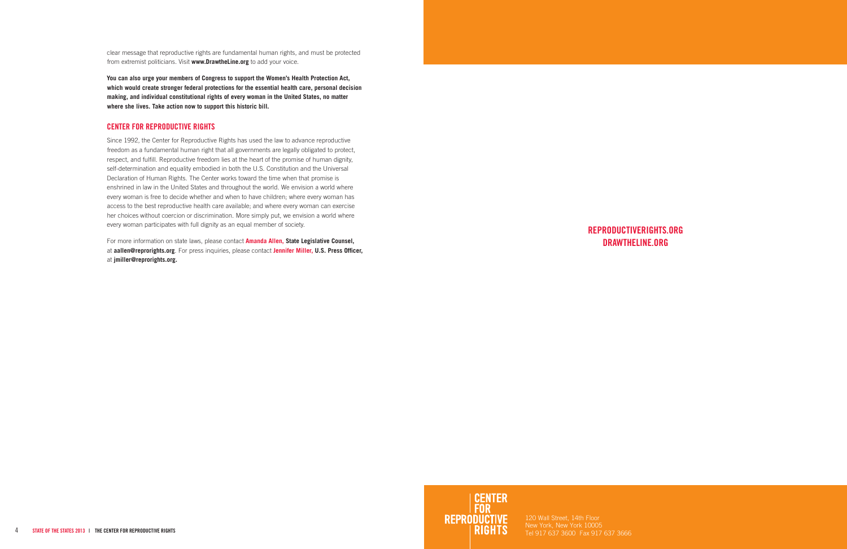**Reproductiverights.org DRAWTHELINE.ORG**

New York, New York 10005 Tel 917 637 3600 Fax 917 637 3666

clear message that reproductive rights are fundamental human rights, and must be protected from extremist politicians. Visit **www.DrawtheLine.org** to add your voice.

**[You can also urge your members of Congress to support the Women's Health Protection Act,](https://secure3.convio.net/cfrr/site/Advocacy?cmd=display&page=UserAction&id=195#.Uq93adJDtUM)  [which would create stronger federal protections for the essential health care, personal decision](https://secure3.convio.net/cfrr/site/Advocacy?cmd=display&page=UserAction&id=195#.Uq93adJDtUM)  [making, and individual constitutional rights of every woman in the United States, no matter](https://secure3.convio.net/cfrr/site/Advocacy?cmd=display&page=UserAction&id=195#.Uq93adJDtUM)  [where she lives. Take action now to support this historic bill.](https://secure3.convio.net/cfrr/site/Advocacy?cmd=display&page=UserAction&id=195#.Uq93adJDtUM)**

### **Center for Reproductive Rights**

Since 1992, the Center for Reproductive Rights has used the law to advance reproductive freedom as a fundamental human right that all governments are legally obligated to protect, respect, and fulfill. Reproductive freedom lies at the heart of the promise of human dignity, self-determination and equality embodied in both the U.S. Constitution and the Universal Declaration of Human Rights. The Center works toward the time when that promise is enshrined in law in the United States and throughout the world. We envision a world where every woman is free to decide whether and when to have children; where every woman has access to the best reproductive health care available; and where every woman can exercise her choices without coercion or discrimination. More simply put, we envision a world where every woman participates with full dignity as an equal member of society.

For more information on state laws, please contact **Amanda Allen, State Legislative Counsel,**  at **aallen@reprorights.org**. For press inquiries, please contact **Jennifer Miller, U.S. Press Officer,**  at **jmiller@reprorights.org.**

CENTER<br>FOR<br>REPRODUCTIVE<br>RIGHTS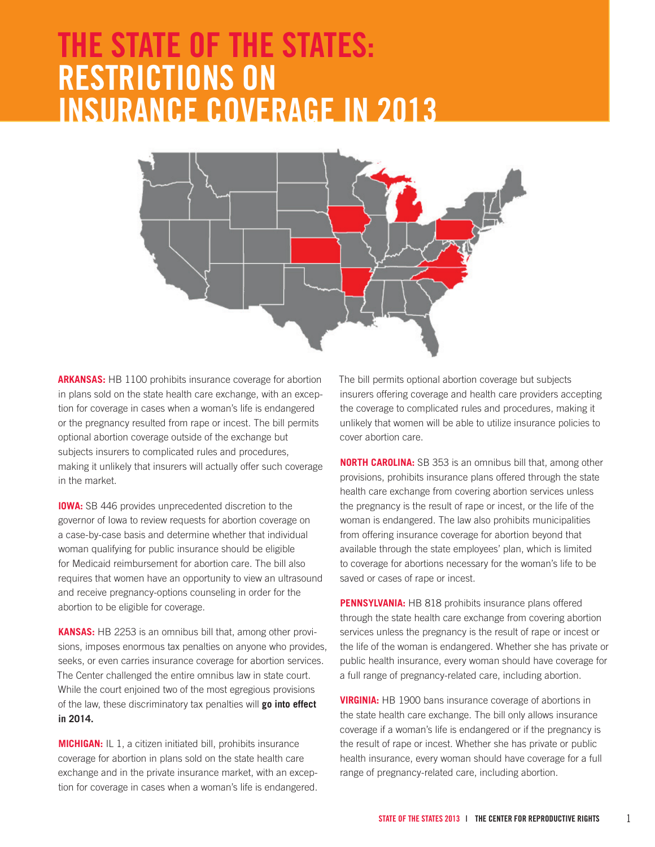# **The State of the States: Restrictions on Insurance Coverage in 2013**



**Arkansas:** HB 1100 prohibits insurance coverage for abortion in plans sold on the state health care exchange, with an exception for coverage in cases when a woman's life is endangered or the pregnancy resulted from rape or incest. The bill permits optional abortion coverage outside of the exchange but subjects insurers to complicated rules and procedures, making it unlikely that insurers will actually offer such coverage in the market.

**IOWA:** SB 446 provides unprecedented discretion to the governor of Iowa to review requests for abortion coverage on a case-by-case basis and determine whether that individual woman qualifying for public insurance should be eligible for Medicaid reimbursement for abortion care. The bill also requires that women have an opportunity to view an ultrasound and receive pregnancy-options counseling in order for the abortion to be eligible for coverage.

**Kansas:** HB 2253 is an omnibus bill that, among other provisions, imposes enormous tax penalties on anyone who provides, seeks, or even carries insurance coverage for abortion services. The Center challenged the entire omnibus law in state court. While the court enjoined two of the most egregious provisions of the law, these discriminatory tax penalties will **[go into effect](http://reproductiverights.org/en/press-room/two-dangerous-and-misleading-provisions-of-new-kansas-anti-abortion-law-blocked-by-state-)  [in 2014.](http://reproductiverights.org/en/press-room/two-dangerous-and-misleading-provisions-of-new-kansas-anti-abortion-law-blocked-by-state-)**

**Michigan:** IL 1, a citizen initiated bill, prohibits insurance coverage for abortion in plans sold on the state health care exchange and in the private insurance market, with an exception for coverage in cases when a woman's life is endangered. The bill permits optional abortion coverage but subjects insurers offering coverage and health care providers accepting the coverage to complicated rules and procedures, making it unlikely that women will be able to utilize insurance policies to cover abortion care.

**NORTH CAROLINA:** SB 353 is an omnibus bill that, among other provisions, prohibits insurance plans offered through the state health care exchange from covering abortion services unless the pregnancy is the result of rape or incest, or the life of the woman is endangered. The law also prohibits municipalities from offering insurance coverage for abortion beyond that available through the state employees' plan, which is limited to coverage for abortions necessary for the woman's life to be saved or cases of rape or incest.

**Pennsylvania:** HB 818 prohibits insurance plans offered through the state health care exchange from covering abortion services unless the pregnancy is the result of rape or incest or the life of the woman is endangered. Whether she has private or public health insurance, every woman should have coverage for a full range of pregnancy-related care, including abortion.

**Virginia:** HB 1900 bans insurance coverage of abortions in the state health care exchange. The bill only allows insurance coverage if a woman's life is endangered or if the pregnancy is the result of rape or incest. Whether she has private or public health insurance, every woman should have coverage for a full range of pregnancy-related care, including abortion.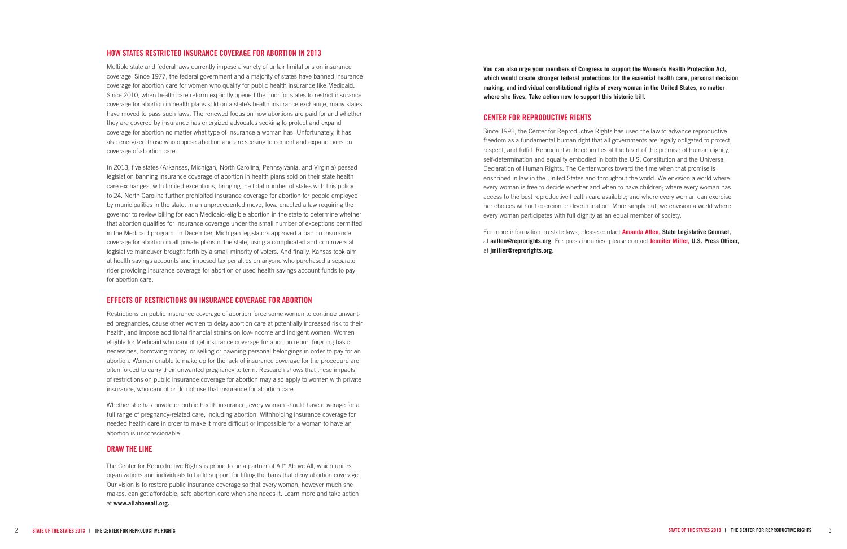#### **How States Restricted Insurance Coverage for Abortion in 2013**

Multiple state and federal laws currently impose a variety of unfair limitations on insurance coverage. Since 1977, the federal government and a majority of states have banned insurance coverage for abortion care for women who qualify for public health insurance like Medicaid. Since 2010, when health care reform explicitly opened the door for states to restrict insurance coverage for abortion in health plans sold on a state's health insurance exchange, many states have moved to pass such laws. The renewed focus on how abortions are paid for and whether they are covered by insurance has energized advocates seeking to protect and expand coverage for abortion no matter what type of insurance a woman has. Unfortunately, it has also energized those who oppose abortion and are seeking to cement and expand bans on coverage of abortion care.

In 2013, five states (Arkansas, Michigan, North Carolina, Pennsylvania, and Virginia) passed legislation banning insurance coverage of abortion in health plans sold on their state health care exchanges, with limited exceptions, bringing the total number of states with this policy to 24. North Carolina further prohibited insurance coverage for abortion for people employed by municipalities in the state. In an unprecedented move, Iowa enacted a law requiring the governor to review billing for each Medicaid-eligible abortion in the state to determine whether that abortion qualifies for insurance coverage under the small number of exceptions permitted in the Medicaid program. In December, Michigan legislators approved a ban on insurance coverage for abortion in all private plans in the state, using a complicated and controversial legislative maneuver brought forth by a small minority of voters. And finally, Kansas took aim at health savings accounts and imposed tax penalties on anyone who purchased a separate rider providing insurance coverage for abortion or used health savings account funds to pay for abortion care.

The Center for Reproductive Rights is proud to be a partner of All\* Above All, which unites organizations and individuals to build support for lifting the bans that deny abortion coverage. Our vision is to restore public insurance coverage so that every woman, however much she makes, can get affordable, safe abortion care when she needs it. Learn more and take action at **[www.allaboveall.org.](http://allaboveall.org/)**

#### **Effects of Restrictions on Insurance Coverage for Abortion**

Restrictions on public insurance coverage of abortion force some women to continue unwanted pregnancies, cause other women to delay abortion care at potentially increased risk to their health, and impose additional financial strains on low-income and indigent women. Women eligible for Medicaid who cannot get insurance coverage for abortion report forgoing basic necessities, borrowing money, or selling or pawning personal belongings in order to pay for an abortion. Women unable to make up for the lack of insurance coverage for the procedure are often forced to carry their unwanted pregnancy to term. Research shows that these impacts of restrictions on public insurance coverage for abortion may also apply to women with private insurance, who cannot or do not use that insurance for abortion care.

Whether she has private or public health insurance, every woman should have coverage for a full range of pregnancy-related care, including abortion. Withholding insurance coverage for needed health care in order to make it more difficult or impossible for a woman to have an abortion is unconscionable.

#### **Draw the Line**

**[You can also urge your members of Congress to support the Women's Health Protection Act,](https://secure3.convio.net/cfrr/site/Advocacy?cmd=display&page=UserAction&id=195#.Uq93adJDtUM)  [which would create stronger federal protections for the essential health care, personal decision](https://secure3.convio.net/cfrr/site/Advocacy?cmd=display&page=UserAction&id=195#.Uq93adJDtUM)  [making, and individual constitutional rights of every woman in the United States, no matter](https://secure3.convio.net/cfrr/site/Advocacy?cmd=display&page=UserAction&id=195#.Uq93adJDtUM)  [where she lives. Take action now to support this historic bill.](https://secure3.convio.net/cfrr/site/Advocacy?cmd=display&page=UserAction&id=195#.Uq93adJDtUM)**

#### **Center for Reproductive Rights**

Since 1992, the Center for Reproductive Rights has used the law to advance reproductive freedom as a fundamental human right that all governments are legally obligated to protect, respect, and fulfill. Reproductive freedom lies at the heart of the promise of human dignity, self-determination and equality embodied in both the U.S. Constitution and the Universal Declaration of Human Rights. The Center works toward the time when that promise is enshrined in law in the United States and throughout the world. We envision a world where every woman is free to decide whether and when to have children; where every woman has access to the best reproductive health care available; and where every woman can exercise her choices without coercion or discrimination. More simply put, we envision a world where every woman participates with full dignity as an equal member of society.

For more information on state laws, please contact **Amanda Allen, State Legislative Counsel,**  at **aallen@reprorights.org**. For press inquiries, please contact **Jennifer Miller, U.S. Press Officer,**  at **jmiller@reprorights.org.**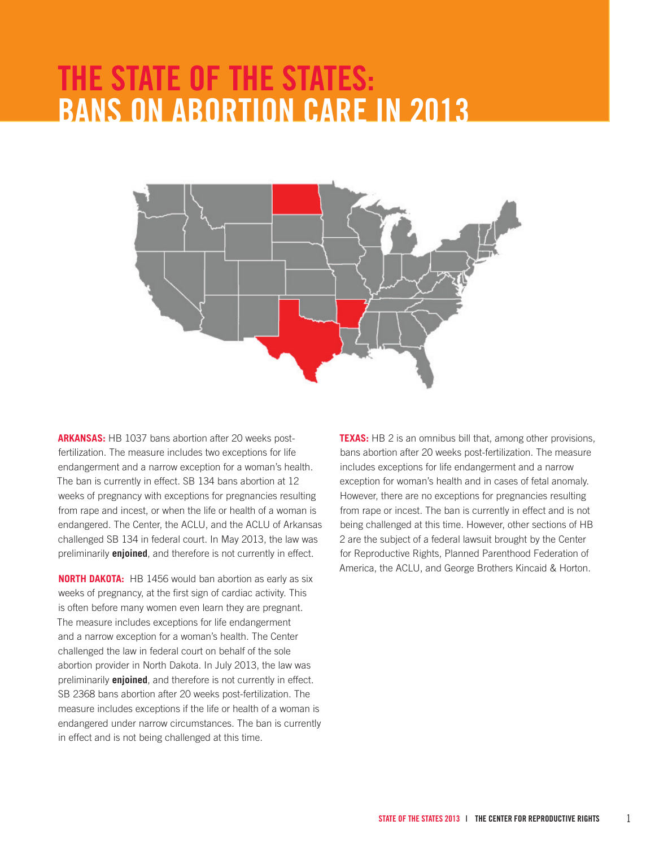# **The State of the States: Bans on Abortion Care in 2013**



**Arkansas:** HB 1037 bans abortion after 20 weeks postfertilization. The measure includes two exceptions for life endangerment and a narrow exception for a woman's health. The ban is currently in effect. SB 134 bans abortion at 12 weeks of pregnancy with exceptions for pregnancies resulting from rape and incest, or when the life or health of a woman is endangered. The Center, the ACLU, and the ACLU of Arkansas challenged SB 134 in federal court. In May 2013, the law was preliminarily **[enjoined](http://reproductiverights.org/en/press-room/federal-judge-blocks-arkansas-12-week-abortion-ban)**, and therefore is not currently in effect.

**NORTH DAKOTA:** HB 1456 would ban abortion as early as six weeks of pregnancy, at the first sign of cardiac activity. This is often before many women even learn they are pregnant. The measure includes exceptions for life endangerment and a narrow exception for a woman's health. The Center challenged the law in federal court on behalf of the sole abortion provider in North Dakota. In July 2013, the law was preliminarily **[enjoined](http://reproductiverights.org/en/press-room/center-for-reproductive-rights-files-lawsuit-in-north-dakota-to-block-nations-earliest-an)**, and therefore is not currently in effect. SB 2368 bans abortion after 20 weeks post-fertilization. The measure includes exceptions if the life or health of a woman is endangered under narrow circumstances. The ban is currently in effect and is not being challenged at this time.

**TEXAS:** HB 2 is an omnibus bill that, among other provisions, bans abortion after 20 weeks post-fertilization. The measure includes exceptions for life endangerment and a narrow exception for woman's health and in cases of fetal anomaly. However, there are no exceptions for pregnancies resulting from rape or incest. The ban is currently in effect and is not being challenged at this time. However, other sections of HB 2 are the subject of a federal lawsuit brought by the Center for Reproductive Rights, Planned Parenthood Federation of America, the ACLU, and George Brothers Kincaid & Horton.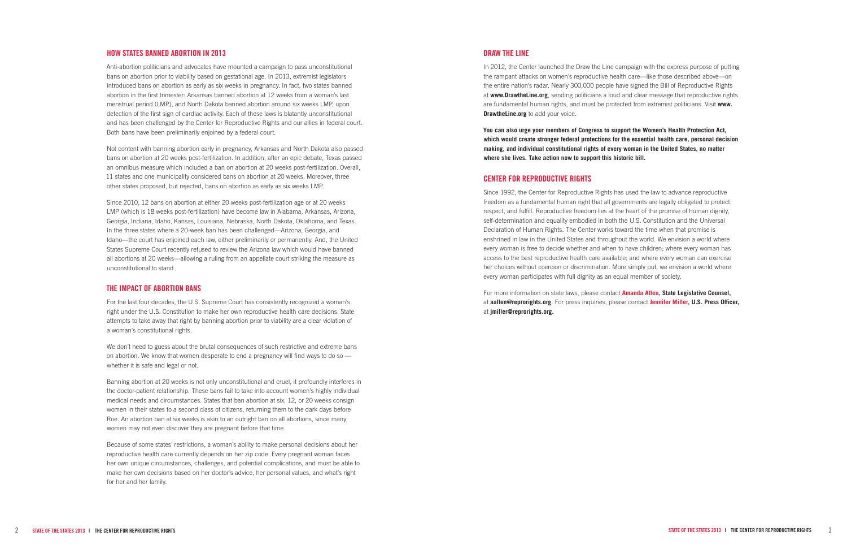#### **How States Banned Abortion in 2013**

Anti-abortion politicians and advocates have mounted a campaign to pass unconstitutional bans on abortion prior to viability based on gestational age. In 2013, extremist legislators introduced bans on abortion as early as six weeks in pregnancy. In fact, two states banned abortion in the first trimester: Arkansas banned abortion at 12 weeks from a woman's last menstrual period (LMP), and North Dakota banned abortion around six weeks LMP, upon detection of the first sign of cardiac activity. Each of these laws is blatantly unconstitutional and has been challenged by the Center for Reproductive Rights and our allies in federal court. Both bans have been preliminarily enjoined by a federal court.

Not content with banning abortion early in pregnancy, Arkansas and North Dakota also passed bans on abortion at 20 weeks post-fertilization. In addition, after an epic debate, Texas passed an omnibus measure which included a ban on abortion at 20 weeks post-fertilization. Overall, 11 states and one municipality considered bans on abortion at 20 weeks. Moreover, three other states proposed, but rejected, bans on abortion as early as six weeks LMP.

Since 2010, 12 bans on abortion at either 20 weeks post-fertilization age or at 20 weeks LMP (which is 18 weeks post-fertilization) have become law in Alabama, Arkansas, Arizona, Georgia, Indiana, Idaho, Kansas, Louisiana, Nebraska, North Dakota, Oklahoma, and Texas. In the three states where a 20-week ban has been challenged—Arizona, Georgia, and Idaho—the court has enjoined each law, either preliminarily or permanently. And, the United States Supreme Court recently refused to review the Arizona law which would have banned all abortions at 20 weeks—allowing a ruling from an appellate court striking the measure as unconstitutional to stand.

In 2012, the Center launched the Draw the Line campaign with the express purpose of putting the rampant attacks on women's reproductive health care—like those described above—on the entire nation's radar. Nearly 300,000 people have signed the Bill of Reproductive Rights at **[www.DrawtheLine.org](http://darwtheline.org)**, sending politicians a loud and clear message that reproductive rights are fundamental human rights, and must be protected from extremist politicians. Visit **www. DrawtheLine.org** to add your voice.

### **The Impact of Abortion Bans**

For the last four decades, the U.S. Supreme Court has consistently recognized a woman's right under the U.S. Constitution to make her own reproductive health care decisions. State attempts to take away that right by banning abortion prior to viability are a clear violation of a woman's constitutional rights.

We don't need to guess about the brutal consequences of such restrictive and extreme bans on abortion. We know that women desperate to end a pregnancy will find ways to do so whether it is safe and legal or not.

Banning abortion at 20 weeks is not only unconstitutional and cruel, it profoundly interferes in the doctor-patient relationship. These bans fail to take into account women's highly individual medical needs and circumstances. States that ban abortion at six, 12, or 20 weeks consign women in their states to a second class of citizens, returning them to the dark days before Roe. An abortion ban at six weeks is akin to an outright ban on all abortions, since many women may not even discover they are pregnant before that time.

Because of some states' restrictions, a woman's ability to make personal decisions about her reproductive health care currently depends on her zip code. Every pregnant woman faces her own unique circumstances, challenges, and potential complications, and must be able to make her own decisions based on her doctor's advice, her personal values, and what's right for her and her family.

#### **Draw the Line**

**[You can also urge your members of Congress to support the Women's Health Protection Act,](https://secure3.convio.net/cfrr/site/Advocacy?cmd=display&page=UserAction&id=195#.Uq93adJDtUM)  [which would create stronger federal protections for the essential health care, personal decision](https://secure3.convio.net/cfrr/site/Advocacy?cmd=display&page=UserAction&id=195#.Uq93adJDtUM)  [making, and individual constitutional rights of every woman in the United States, no matter](https://secure3.convio.net/cfrr/site/Advocacy?cmd=display&page=UserAction&id=195#.Uq93adJDtUM)  [where she lives. Take action now to support this historic bill.](https://secure3.convio.net/cfrr/site/Advocacy?cmd=display&page=UserAction&id=195#.Uq93adJDtUM)**

### **Center for Reproductive Rights**

Since 1992, the Center for Reproductive Rights has used the law to advance reproductive freedom as a fundamental human right that all governments are legally obligated to protect, respect, and fulfill. Reproductive freedom lies at the heart of the promise of human dignity, self-determination and equality embodied in both the U.S. Constitution and the Universal Declaration of Human Rights. The Center works toward the time when that promise is enshrined in law in the United States and throughout the world. We envision a world where every woman is free to decide whether and when to have children; where every woman has access to the best reproductive health care available; and where every woman can exercise her choices without coercion or discrimination. More simply put, we envision a world where every woman participates with full dignity as an equal member of society.

For more information on state laws, please contact **Amanda Allen, State Legislative Counsel,**  at **aallen@reprorights.org**. For press inquiries, please contact **Jennifer Miller, U.S. Press Officer,**  at **jmiller@reprorights.org.**